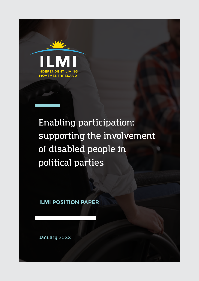

## **Enabling participation: supporting the involvement of disabled people in political parties**

**ILMI POSITION PAPER**

**January 2022**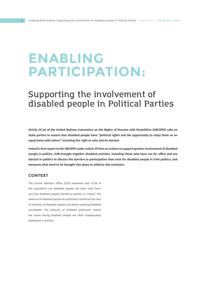# **ENABLING PARTICIPATION:**

## **Supporting the involvement of disabled people in Political Parties**

**Article 29 (a) of the United Nations Convention on the Rights of Persons with Disabilities (UNCRPD) calls on State parties to ensure that disabled people have "political rights and the opportunity to enjoy them on an equal basis with others" including the right to vote and be elected.** 

**Ireland's first report to the UNCRPD under article 29 lists no actions to support greater involvement of disabled people in politics. ILMI brought together disabled activists, including those who have run for office and are elected in politics to discuss the barriers to participation that exist for disabled people in Irish politics, and measures that need to be brought into place to address this exclusion.** 

#### **CONTEXT**

The Central Statistics Office (CSO) estimates that 13.5% of the population are disabled people yet there have been very few disabled people elected to politics in Ireland. The absence of disabled people as politicians reinforces the lack of visibility of disabled people and deters aspiring disabled candidates. The absence of disabled politicians means the issues facing disabled people are often inadequately addressed in politics.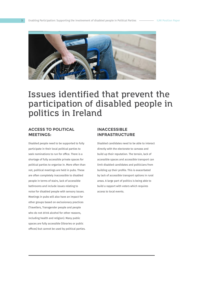

### **Issues identified that prevent the participation of disabled people in politics in Ireland**

#### **ACCESS TO POLITICAL MEETINGS:**

Disabled people need to be supported to fully participate in their local political parties to seek nominations to run for office. There is a shortage of fully accessible private spaces for political parties to organise in. More often than not, political meetings are held in pubs. These are often completely inaccessible to disabled people in terms of stairs, lack of accessible bathrooms and include issues relating to noise for disabled people with sensory issues. Meetings in pubs will also have an impact for other groups based on exclusionary practices (Travellers, Transgender people and people who do not drink alcohol for other reasons, including health and religion). Many public spaces are fully accessible (libraries or public offices) but cannot be used by political parties.

#### **INACCESSIBLE INFRASTRUCTURE**

Disabled candidates need to be able to interact directly with the electorate to canvass and build up their reputation. The terrain, lack of accessible spaces and accessible transport can limit disabled candidates and politicians from building up their profile. This is exacerbated by lack of accessible transport options in rural areas. A large part of politics is being able to build a rapport with voters which requires access to local events.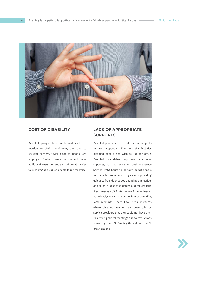

Disabled people have additional costs in relation to their impairment, and due to societal barriers, fewer disabled people are employed. Elections are expensive and these additional costs present an additional barrier to encouraging disabled people to run for office.

#### **COST OF DISABILITY LACK OF APPROPRIATE SUPPORTS**

Disabled people often need specific supports to live independent lives and this includes disabled people who wish to run for office. Disabled candidates may need additional supports, such as extra Personal Assistance Service (PAS) hours to perform specific tasks for them; for example, driving a car or providing guidance from door to door, handing out leaflets and so on. A Deaf candidate would require Irish Sign Language (ISL) interpreters for meetings at party level, canvassing door to door or attending local meetings. There have been instances where disabled people have been told by service providers that they could not have their PA attend political meetings due to restrictions placed by the HSE funding through section 39 organisations.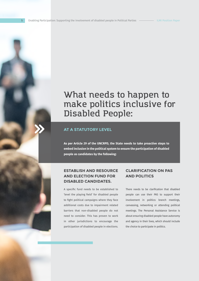## **What needs to happen to make politics inclusive for Disabled People:**

#### **AT A STATUTORY LEVEL**

**As per Article 29 of the UNCRPD, the State needs to take proactive steps to embed inclusion in the political system to ensure the participation of disabled people as candidates by the following:**

### **ESTABLISH AND RESOURCE AND ELECTION FUND FOR DISABLED CANDIDATES.**

A specific fund needs to be established to 'level the playing field' for disabled people to fight political campaigns where they face additional costs due to impairment related barriers that non-disabled people do not need to consider. This has proven to work in other jurisdictions to encourage the participation of disabled people in elections.

#### **CLARIFICATION ON PAS AND POLITICS**

There needs to be clarification that disabled people can use their PAS to support their involvement in politics: branch meetings, canvassing, networking or attending political meetings. The Personal Assistance Service is about ensuring disabled people have autonomy and agency in their lives, which should include the choice to participate in politics.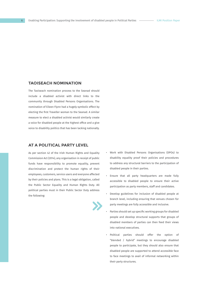#### **TAOISEACH NOMINATION**

The Taoiseach nomination process to the Seanad should include a disabled activist with direct links to the community through Disabled Persons Organisations. The nomination of Eileen Flynn had a hugely symbolic effect by electing the first Traveller woman to the Seanad. A similar measure to elect a disabled activist would similarly create a voice for disabled people at the highest office and a give voice to disability politics that has been lacking nationally.

#### **AT A POLITICAL PARTY LEVEL**

As per section 42 of the Irish Human Rights and Equality Commission Act (2014), any organisation in receipt of public funds have responsibility to promote equality, prevent discrimination and protect the human rights of their employees, customers, service users and everyone affected by their policies and plans. This is a legal obligation, called the Public Sector Equality and Human Rights Duty. All political parties must in their Public Sector Duty address the following:



- Work with Disabled Persons Organisations (DPOs) to disability equality proof their policies and procedures to address any structural barriers to the participation of disabled people in their parties.
- Ensure that all party headquarters are made fully accessible to disabled people to ensure their active participation as party members, staff and candidates.
- Develop guidelines for inclusion of disabled people at branch level, including ensuring that venues chosen for party meetings are fully accessible and inclusive.
- Parties should set up specific working groups for disabled people and develop structural supports that groups of disabled members of parties can then feed their views into national executives.
- Political parties should offer the option of "blended / hybrid" meetings to encourage disabled people to participate, but they should also ensure that disabled people are supported to attend accessible face to face meetings to avail of informal networking within their party structures.